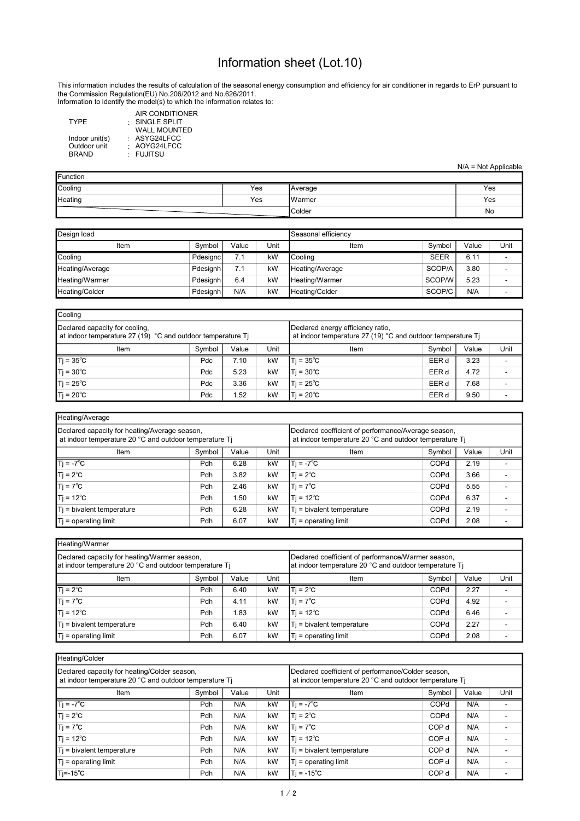## Information sheet (Lot.10)

This information includes the results of calculation of the seasonal energy consumption and efficiency for air conditioner in regards to ErP pursuant to the Commission Regulation(EU) No.206/2012 and No.626/2011. Information to identify the model(s) to which the information relates to:

|                |              | AIR CONDITIONER     |
|----------------|--------------|---------------------|
| <b>TYPF</b>    | SINGLE SPLIT |                     |
|                |              | <b>WALL MOUNTED</b> |
| Indoor unit(s) | : ASYG24LFCC |                     |
| Outdoor unit   | : AOYG24LFCC |                     |
| <b>BRAND</b>   | · FUJITSU    |                     |
|                |              |                     |

N/A = Not Applicable

| <b>Function</b> |     |         |     |  |  |  |  |
|-----------------|-----|---------|-----|--|--|--|--|
| Cooling         | Yes | Average | Yes |  |  |  |  |
| Heating         | Yes | IWarmer | Yes |  |  |  |  |
|                 |     | Colder  | No  |  |  |  |  |

| Design load     |          |       |      | Seasonal efficiencv |             |       |      |
|-----------------|----------|-------|------|---------------------|-------------|-------|------|
| Item            | Symbol   | Value | Unit | Item                | Symbol      | Value | Unit |
| Cooling         | Pdesignc | 7.1   | kW   | l Coolina           | <b>SEER</b> | 6.11  |      |
| Heating/Average | Pdesianh | 7.1   | kW   | Heating/Average     | SCOP/A      | 3.80  |      |
| Heating/Warmer  | Pdesignh | 6.4   | kW   | Heating/Warmer      | SCOP/W      | 5.23  |      |
| Heating/Colder  | Pdesignh | N/A   | kW   | Heating/Colder      | SCOP/C      | N/A   |      |

| Cooling                                                                                       |                                                                                                  |       |      |                     |        |       |      |
|-----------------------------------------------------------------------------------------------|--------------------------------------------------------------------------------------------------|-------|------|---------------------|--------|-------|------|
| Declared capacity for cooling,<br>at indoor temperature 27 (19) °C and outdoor temperature Tj | Declared energy efficiency ratio,<br>at indoor temperature 27 (19) °C and outdoor temperature Tj |       |      |                     |        |       |      |
| Item                                                                                          | Symbol                                                                                           | Value | Unit | Item                | Symbol | Value | Unit |
| $T = 35^{\circ}C$                                                                             | Pdc                                                                                              | 7.10  | kW   | ITi = 35°C          | EER d  | 3.23  |      |
| $T$ j = 30 $^{\circ}$ C                                                                       | Pdc                                                                                              | 5.23  | kW   | $ T  = 30^{\circ}C$ | EER d  | 4.72  |      |
| $T = 25^{\circ}C$                                                                             | Pdc                                                                                              | 3.36  | kW   | Ti = 25℃            | EER d  | 7.68  |      |
| $Ti = 20^{\circ}C$                                                                            | Pdc                                                                                              | 1.52  | kW   | lTi = 20°C          | EER d  | 9.50  |      |

| Heating/Average                                                                                         |        |       |      |                                                                                                               |        |       |      |
|---------------------------------------------------------------------------------------------------------|--------|-------|------|---------------------------------------------------------------------------------------------------------------|--------|-------|------|
| Declared capacity for heating/Average season,<br>at indoor temperature 20 °C and outdoor temperature Ti |        |       |      | Declared coefficient of performance/Average season,<br>at indoor temperature 20 °C and outdoor temperature Ti |        |       |      |
| Item                                                                                                    | Symbol | Value | Unit | Item                                                                                                          | Symbol | Value | Unit |
| $Ti = -7^{\circ}C$                                                                                      | Pdh    | 6.28  | kW   | $T = -7^{\circ}C$                                                                                             | COPd   | 2.19  |      |
| $T = 2^{\circ}C$                                                                                        | Pdh    | 3.82  | kW   | $1Ti = 2^{\circ}C$                                                                                            | COPd   | 3.66  |      |
| $T_i = 7^{\circ}C$                                                                                      | Pdh    | 2.46  | kW   | $Ti = 7^{\circ}C$                                                                                             | COPd   | 5.55  |      |
| $T = 12^{\circ}C$                                                                                       | Pdh    | 50. ا | kW   | $T = 12^{\circ}C$                                                                                             | COPd   | 6.37  |      |
| Ti = bivalent temperature                                                                               | Pdh    | 6.28  | kW   | Ti = bivalent temperature                                                                                     | COPd   | 2.19  |      |
| $Ti =$ operating limit                                                                                  | Pdh    | 6.07  | kW   | $Ti =$ operating limit                                                                                        | COPd   | 2.08  |      |

| Heating/Warmer                                                                                         |                                                                                                              |       |      |                           |        |       |      |  |
|--------------------------------------------------------------------------------------------------------|--------------------------------------------------------------------------------------------------------------|-------|------|---------------------------|--------|-------|------|--|
| Declared capacity for heating/Warmer season,<br>at indoor temperature 20 °C and outdoor temperature Ti | Declared coefficient of performance/Warmer season,<br>at indoor temperature 20 °C and outdoor temperature Ti |       |      |                           |        |       |      |  |
| Item                                                                                                   | Symbol                                                                                                       | Value | Unit | Item                      | Symbol | Value | Unit |  |
| $T$ j = 2 $^{\circ}$ C                                                                                 | Pdh                                                                                                          | 6.40  | kW   | $Ti = 2^{\circ}C$         | COPd   | 2.27  |      |  |
| $T_i = 7^{\circ}C$                                                                                     | Pdh                                                                                                          | 4.11  | kW   | $Ti = 7^{\circ}C$         | COPd   | 4.92  |      |  |
| $Ti = 12^{\circ}C$                                                                                     | Pdh                                                                                                          | 1.83  | kW   | $1T = 12^{\circ}C$        | COPd   | 6.46  |      |  |
| $T$ j = bivalent temperature                                                                           | Pdh                                                                                                          | 6.40  | kW   | Ti = bivalent temperature | COPd   | 2.27  |      |  |
| $Ti =$ operating limit                                                                                 | Pdh                                                                                                          | 6.07  | kW   | $Tj = operating limit$    | COPd   | 2.08  |      |  |

| Heating/Colder                                                                                         |            |       |      |                                                                                                              |                  |       |      |  |
|--------------------------------------------------------------------------------------------------------|------------|-------|------|--------------------------------------------------------------------------------------------------------------|------------------|-------|------|--|
| Declared capacity for heating/Colder season,<br>at indoor temperature 20 °C and outdoor temperature Ti |            |       |      | Declared coefficient of performance/Colder season,<br>at indoor temperature 20 °C and outdoor temperature Ti |                  |       |      |  |
| Item                                                                                                   | Symbol     | Value | Unit | Item                                                                                                         | Symbol           | Value | Unit |  |
| $T$ j = -7 <sup>°</sup> C                                                                              | Pdh        | N/A   | kW   | $Ti = -7^{\circ}C$                                                                                           | COPd             | N/A   |      |  |
| $T_i = 2^{\circ}C$                                                                                     | Pdh        | N/A   | kW   | $T = 2^{\circ}C$                                                                                             | COPd             | N/A   |      |  |
| $T$ j = 7 $^{\circ}$ C                                                                                 | Pdh        | N/A   | kW   | $T_i = 7^{\circ}C$                                                                                           | COP <sub>d</sub> | N/A   |      |  |
| $T$ j = 12 $^{\circ}$ C                                                                                | Pdh        | N/A   | kW   | Ti = 12°C                                                                                                    | COP <sub>d</sub> | N/A   |      |  |
| $T$ = bivalent temperature                                                                             | Pdh        | N/A   | kW   | Ti = bivalent temperature                                                                                    | COP <sub>d</sub> | N/A   |      |  |
| $T$ = operating limit                                                                                  | <b>Pdh</b> | N/A   | kW   | $T$ = operating limit                                                                                        | COP <sub>d</sub> | N/A   |      |  |
| $T = -15^{\circ}C$                                                                                     | Pdh        | N/A   | kW   | $ Ti = -15^{\circ}C$                                                                                         | COP <sub>d</sub> | N/A   |      |  |